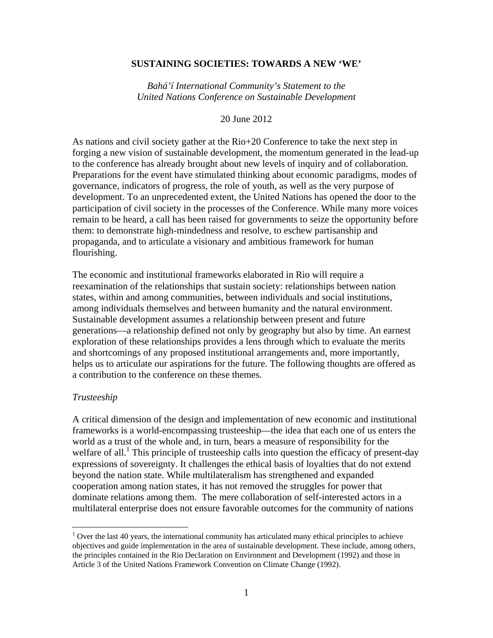## **SUSTAINING SOCIETIES: TOWARDS A NEW 'WE'**

*Bahá'í International Community's Statement to the United Nations Conference on Sustainable Development* 

20 June 2012

As nations and civil society gather at the Rio+20 Conference to take the next step in forging a new vision of sustainable development, the momentum generated in the lead-up to the conference has already brought about new levels of inquiry and of collaboration. Preparations for the event have stimulated thinking about economic paradigms, modes of governance, indicators of progress, the role of youth, as well as the very purpose of development. To an unprecedented extent, the United Nations has opened the door to the participation of civil society in the processes of the Conference. While many more voices remain to be heard, a call has been raised for governments to seize the opportunity before them: to demonstrate high-mindedness and resolve, to eschew partisanship and propaganda, and to articulate a visionary and ambitious framework for human flourishing.

The economic and institutional frameworks elaborated in Rio will require a reexamination of the relationships that sustain society: relationships between nation states, within and among communities, between individuals and social institutions, among individuals themselves and between humanity and the natural environment. Sustainable development assumes a relationship between present and future generations—a relationship defined not only by geography but also by time. An earnest exploration of these relationships provides a lens through which to evaluate the merits and shortcomings of any proposed institutional arrangements and, more importantly, helps us to articulate our aspirations for the future. The following thoughts are offered as a contribution to the conference on these themes.

## *Trusteeship*

A critical dimension of the design and implementation of new economic and institutional frameworks is a world-encompassing trusteeship—the idea that each one of us enters the world as a trust of the whole and, in turn, bears a measure of responsibility for the welfare of all.<sup>1</sup> This principle of trusteeship calls into question the efficacy of present-day expressions of sovereignty. It challenges the ethical basis of loyalties that do not extend beyond the nation state. While multilateralism has strengthened and expanded cooperation among nation states, it has not removed the struggles for power that dominate relations among them. The mere collaboration of self-interested actors in a multilateral enterprise does not ensure favorable outcomes for the community of nations

<sup>&</sup>lt;sup>1</sup> Over the last 40 years, the international community has articulated many ethical principles to achieve objectives and guide implementation in the area of sustainable development. These include, among others, the principles contained in the Rio Declaration on Environment and Development (1992) and those in Article 3 of the United Nations Framework Convention on Climate Change (1992).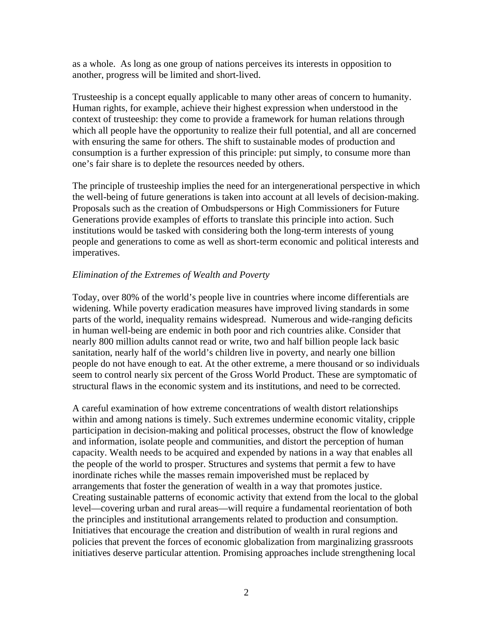as a whole. As long as one group of nations perceives its interests in opposition to another, progress will be limited and short-lived.

Trusteeship is a concept equally applicable to many other areas of concern to humanity. Human rights, for example, achieve their highest expression when understood in the context of trusteeship: they come to provide a framework for human relations through which all people have the opportunity to realize their full potential, and all are concerned with ensuring the same for others. The shift to sustainable modes of production and consumption is a further expression of this principle: put simply, to consume more than one's fair share is to deplete the resources needed by others.

The principle of trusteeship implies the need for an intergenerational perspective in which the well-being of future generations is taken into account at all levels of decision-making. Proposals such as the creation of Ombudspersons or High Commissioners for Future Generations provide examples of efforts to translate this principle into action. Such institutions would be tasked with considering both the long-term interests of young people and generations to come as well as short-term economic and political interests and imperatives.

## *Elimination of the Extremes of Wealth and Poverty*

Today, over 80% of the world's people live in countries where income differentials are widening. While poverty eradication measures have improved living standards in some parts of the world, inequality remains widespread. Numerous and wide-ranging deficits in human well-being are endemic in both poor and rich countries alike. Consider that nearly 800 million adults cannot read or write, two and half billion people lack basic sanitation, nearly half of the world's children live in poverty, and nearly one billion people do not have enough to eat. At the other extreme, a mere thousand or so individuals seem to control nearly six percent of the Gross World Product. These are symptomatic of structural flaws in the economic system and its institutions, and need to be corrected.

A careful examination of how extreme concentrations of wealth distort relationships within and among nations is timely. Such extremes undermine economic vitality, cripple participation in decision-making and political processes, obstruct the flow of knowledge and information, isolate people and communities, and distort the perception of human capacity. Wealth needs to be acquired and expended by nations in a way that enables all the people of the world to prosper. Structures and systems that permit a few to have inordinate riches while the masses remain impoverished must be replaced by arrangements that foster the generation of wealth in a way that promotes justice. Creating sustainable patterns of economic activity that extend from the local to the global level—covering urban and rural areas—will require a fundamental reorientation of both the principles and institutional arrangements related to production and consumption. Initiatives that encourage the creation and distribution of wealth in rural regions and policies that prevent the forces of economic globalization from marginalizing grassroots initiatives deserve particular attention. Promising approaches include strengthening local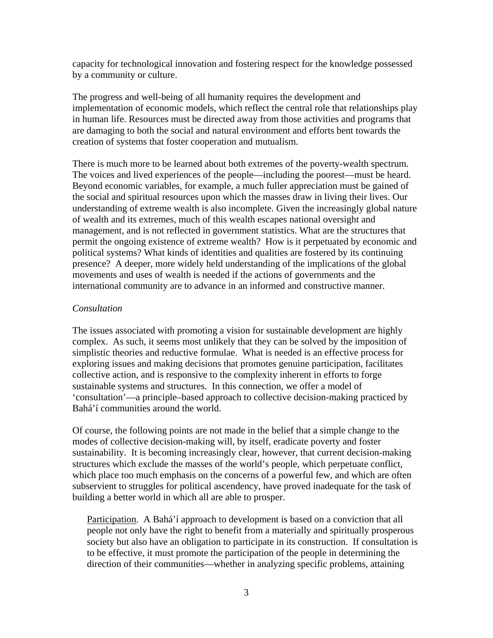capacity for technological innovation and fostering respect for the knowledge possessed by a community or culture.

The progress and well-being of all humanity requires the development and implementation of economic models, which reflect the central role that relationships play in human life. Resources must be directed away from those activities and programs that are damaging to both the social and natural environment and efforts bent towards the creation of systems that foster cooperation and mutualism.

There is much more to be learned about both extremes of the poverty-wealth spectrum. The voices and lived experiences of the people—including the poorest—must be heard. Beyond economic variables, for example, a much fuller appreciation must be gained of the social and spiritual resources upon which the masses draw in living their lives. Our understanding of extreme wealth is also incomplete. Given the increasingly global nature of wealth and its extremes, much of this wealth escapes national oversight and management, and is not reflected in government statistics. What are the structures that permit the ongoing existence of extreme wealth? How is it perpetuated by economic and political systems? What kinds of identities and qualities are fostered by its continuing presence?A deeper, more widely held understanding of the implications of the global movements and uses of wealth is needed if the actions of governments and the international community are to advance in an informed and constructive manner.

## *Consultation*

The issues associated with promoting a vision for sustainable development are highly complex. As such, it seems most unlikely that they can be solved by the imposition of simplistic theories and reductive formulae. What is needed is an effective process for exploring issues and making decisions that promotes genuine participation, facilitates collective action, and is responsive to the complexity inherent in efforts to forge sustainable systems and structures. In this connection, we offer a model of 'consultation'—a principle–based approach to collective decision-making practiced by Bahá'í communities around the world.

Of course, the following points are not made in the belief that a simple change to the modes of collective decision-making will, by itself, eradicate poverty and foster sustainability. It is becoming increasingly clear, however, that current decision-making structures which exclude the masses of the world's people, which perpetuate conflict, which place too much emphasis on the concerns of a powerful few, and which are often subservient to struggles for political ascendency, have proved inadequate for the task of building a better world in which all are able to prosper.

Participation. A Bahá'í approach to development is based on a conviction that all people not only have the right to benefit from a materially and spiritually prosperous society but also have an obligation to participate in its construction. If consultation is to be effective, it must promote the participation of the people in determining the direction of their communities—whether in analyzing specific problems, attaining